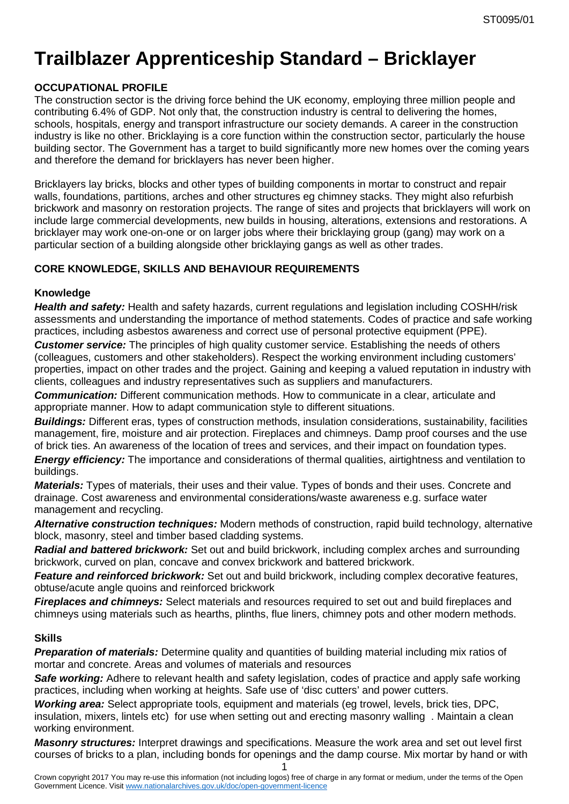# **Trailblazer Apprenticeship Standard – Bricklayer**

# **OCCUPATIONAL PROFILE**

The construction sector is the driving force behind the UK economy, employing three million people and contributing 6.4% of GDP. Not only that, the construction industry is central to delivering the homes, schools, hospitals, energy and transport infrastructure our society demands. A career in the construction industry is like no other. Bricklaying is a core function within the construction sector, particularly the house building sector. The Government has a target to build significantly more new homes over the coming years and therefore the demand for bricklayers has never been higher.

Bricklayers lay bricks, blocks and other types of building components in mortar to construct and repair walls, foundations, partitions, arches and other structures eg chimney stacks. They might also refurbish brickwork and masonry on restoration projects. The range of sites and projects that bricklayers will work on include large commercial developments, new builds in housing, alterations, extensions and restorations. A bricklayer may work one-on-one or on larger jobs where their bricklaying group (gang) may work on a particular section of a building alongside other bricklaying gangs as well as other trades.

# **CORE KNOWLEDGE, SKILLS AND BEHAVIOUR REQUIREMENTS**

## **Knowledge**

*Health and safety:* Health and safety hazards, current regulations and legislation including COSHH/risk assessments and understanding the importance of method statements. Codes of practice and safe working practices, including asbestos awareness and correct use of personal protective equipment (PPE).

*Customer service:* The principles of high quality customer service. Establishing the needs of others (colleagues, customers and other stakeholders). Respect the working environment including customers' properties, impact on other trades and the project. Gaining and keeping a valued reputation in industry with clients, colleagues and industry representatives such as suppliers and manufacturers.

*Communication:* Different communication methods. How to communicate in a clear, articulate and appropriate manner. How to adapt communication style to different situations.

*Buildings:* Different eras, types of construction methods, insulation considerations, sustainability, facilities management, fire, moisture and air protection. Fireplaces and chimneys. Damp proof courses and the use of brick ties. An awareness of the location of trees and services, and their impact on foundation types.

*Energy efficiency:* The importance and considerations of thermal qualities, airtightness and ventilation to buildings.

*Materials:* Types of materials, their uses and their value. Types of bonds and their uses. Concrete and drainage. Cost awareness and environmental considerations/waste awareness e.g. surface water management and recycling.

*Alternative construction techniques:* Modern methods of construction, rapid build technology, alternative block, masonry, steel and timber based cladding systems.

*Radial and battered brickwork:* Set out and build brickwork, including complex arches and surrounding brickwork, curved on plan, concave and convex brickwork and battered brickwork.

**Feature and reinforced brickwork:** Set out and build brickwork, including complex decorative features, obtuse/acute angle quoins and reinforced brickwork

*Fireplaces and chimneys:* Select materials and resources required to set out and build fireplaces and chimneys using materials such as hearths, plinths, flue liners, chimney pots and other modern methods.

## **Skills**

**Preparation of materials:** Determine quality and quantities of building material including mix ratios of mortar and concrete. Areas and volumes of materials and resources

**Safe working:** Adhere to relevant health and safety legislation, codes of practice and apply safe working practices, including when working at heights. Safe use of 'disc cutters' and power cutters.

*Working area:* Select appropriate tools, equipment and materials (eg trowel, levels, brick ties, DPC, insulation, mixers, lintels etc) for use when setting out and erecting masonry walling . Maintain a clean working environment.

1 *Masonry structures:* Interpret drawings and specifications. Measure the work area and set out level first courses of bricks to a plan, including bonds for openings and the damp course. Mix mortar by hand or with